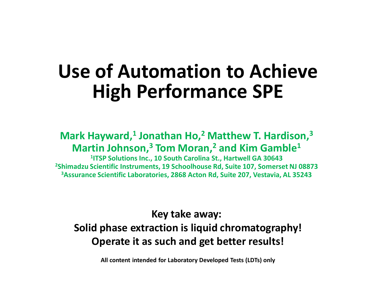### **Use of Automation to AchieveHigh Performance SPE**

#### **Mark Hayward,1 Jonathan Ho,2 Matthew T. Hardison,3Martin Johnson,3 Tom Moran,2 and Kim Gamble1**

 **1ITSP Solutions Inc., 10 South Carolina St., Hartwell GA 30643 2Shimadzu Scientific Instruments, 19 Schoolhouse Rd, Suite 107, Somerset NJ 088733Assurance Scientific Laboratories, 2868 Acton Rd, Suite 207, Vestavia, AL 35243**

#### **Key take away: Solid phase extraction is liquid chromatography!Operate it as such and get better results!**

**All content intended for Laboratory Developed Tests (LDTs) only**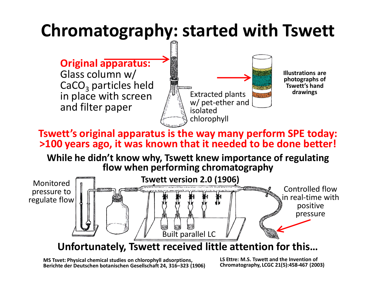### **Chromatography: started with Tswett**



CaCO $_3$  particles h  $_3$  particles held in place with screen and filter paper



**Illustrations are photographs of Tswett's hand drawings**

**Tswett's original apparatus is the way many perform SPE today: >100 years ago, it was known that it needed to be done better!**

**While he didn't know why, Tswett knew importance of regulating flow when performing chromatography**



**Unfortunately, Tswett received little attention for this…**

**MS Tsvet: Physical chemical studies on chlorophyll adsorptions, Berichte der Deutschen botanischen Gesellschaft 24, 316–323 (1906)**

 **LS Ettre: M.S. Tswett and the Invention of Chromatography, LCGC 21(5):458-467 (2003)**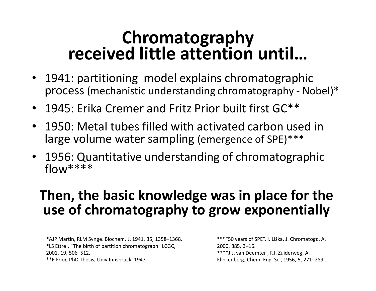### **Chromatographyreceived little attention until…**

- 1941: partitioning model explains chromatographic process (mechanistic understanding chromatography - Nobel)\*
- 1945: Erika Cremer and Fritz Prior built first GC\*\*
- 1950: Metal tubes filled with activated carbon used in large volume water sampling (emergence of SPE)\*\*\*
- 1956: Quantitative understanding of chromatographicflow\*\*\*\*

#### **Then, the basic knowledge was in place for the use of chromatography to grow exponentially**

\*AJP Martin, RLM Synge. Biochem. J. 1941, 35, 1358–1368.\*LS Ettre , "The birth of partition chromatograph" LCGC, 2001, 19, 506–512.\*\*F Prior, PhD Thesis, Univ Innsbruck, 1947.

\*\*\*"50 years of SPE", I. Liška, J. Chromatogr., A, 2000, 885, 3–16.\*\*\*\*J.J. van Deemter , F.J. Zuiderweg, A. Klinkenberg, Chem. Eng. Sc., 1956, 5, 271–289 .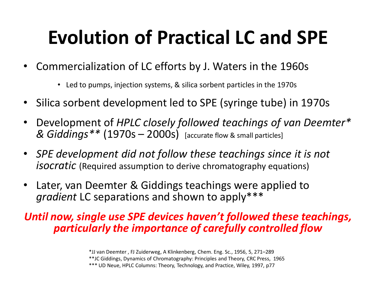# **Evolution of Practical LC and SPE**

- Commercialization of LC efforts by J. Waters in the 1960s
	- Led to pumps, injection systems, & silica sorbent particles in the 1970s
- •Silica sorbent development led to SPE (syringe tube) in 1970s
- • Development of *HPLC closely followed teachings of van Deemter\* & Giddings\*\** (1970s – 2000s) [accurate flow & small particles]
- *SPE development did not follow these teachings since it is not isocratic* (Required assumption to derive chromatography equations)
- Later, van Deemter & Giddings teachings were applied to *gradient* LC separations and shown to apply\*\*\*

#### *Until now, single use SPE devices haven't followed these teachings, particularly the importance of carefully controlled flow*

<sup>\*</sup>JJ van Deemter , FJ Zuiderweg, A Klinkenberg, Chem. Eng. Sc., 1956, 5, 271–289

\*\*JC Giddings, Dynamics of Chromatography: Principles and Theory, CRC Press, 1965

<sup>\*\*\*</sup> UD Neue, HPLC Columns: Theory, Technology, and Practice, Wiley, 1997, p77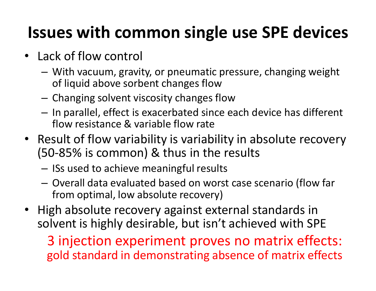### **Issues with common single use SPE devices**

- Lack of flow control
	- –- With vacuum, gravity, or pneumatic pressure, changing weight of liquid above sorbent changes flow
	- Changing solvent viscosity changes  $-$  Changing solvent viscosity changes flow
	- $-$  In narallel, ettect is evacerhated since  $-$ - In parallel, effect is exacerbated since each device has different flow resistance & variable flow rate
- Result of flow variability is variability in absolute recovery (50-85% is common) & thus in the results
	- – $-$  ISs used to achieve meaningful results
	- – Overall data evaluated based on worst case scenario (flow far from optimal, low absolute recovery)
- High absolute recovery against external standards in solvent is highly desirable, but isn't achieved with SPE

3 injection experiment proves no matrix effects: gold standard in demonstrating absence of matrix effects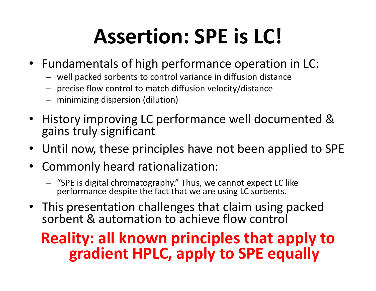# **Assertion: SPE is LC!**

- Fundamentals of high performance operation in LC:
	- well packed sorbents to control variance in diffusion distance
	- precise flow control to match diffusion velocity/distance
	- minimizing dispersion (dilution)
- History improving LC performance well documented & gains truly significant
- •Until now, these principles have not been applied to SPE
- $\bullet$  Commonly heard rationalization:
	- "SPE is digital chromatography." Thus, we cannot expect LC like performance despite the fact that we are using LC sorbents.
- This presentation challenges that claim using packed sorbent & automation to achieve flow control

### **Reality: all known principles that apply to gradient HPLC, apply to SPE equally**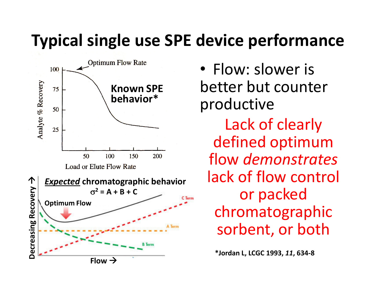### **Typical single use SPE device performance**



• Flow: slower is better but counter productive Lack of clearly defined optimum flow *demonstrates* lack of flow control or packed chromatographic sorbent, or both

**\*Jordan L, LCGC 1993,** *11***, 634-8**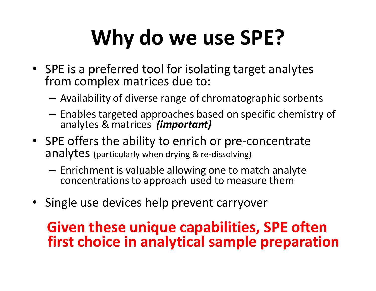# **Why do we use SPE?**

- SPE is a preferred tool for isolating target analytesfrom complex matrices due to:
	- – $-$  Availability of diverse range of chromatographic sorbents
	- Enables targeted approaches based on specific chemistry of analytes & matrices *(important)*
- SPE offers the ability to enrich or pre-concentrate ${\sf analysis}$  analytes (particularly when drying & re-dissolving)
	- Enrichment is valuable allowing one to match analyt econcentrations to approach used to measure them
- Single use devices help prevent carryover

#### **Given these unique capabilities, SPE often first choice in analytical sample preparation**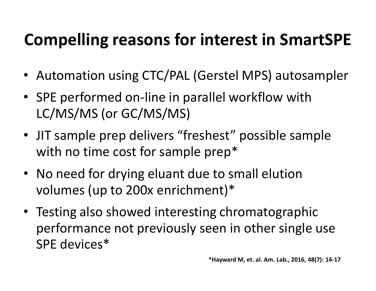### **Compelling reasons for interest in SmartSPE**

- Automation using CTC/PAL (Gerstel MPS) autosampler
- SPE performed on-line in parallel workflow with LC/MS/MS (or GC/MS/MS)
- JIT sample prep delivers "freshest" possible samplewith no time cost for sample prep\*
- No need for drying eluant due to small elution volumes (up to 200x enrichment)\*
- Testing also showed interesting chromatographic performance not previously seen in other single useSPE devices\*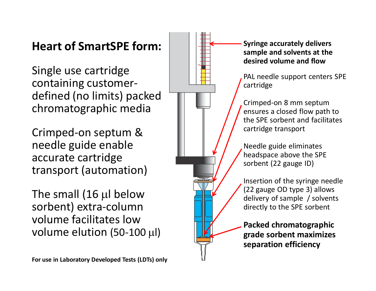#### **Heart of SmartSPE form:**

Single use cartridge containing customerdefined (no limits) packed chromatographic media

Crimped-on septum & needle guide enable accurate cartridge transport (automation)

The small (16 µl below sorbent) extra-column volume facilitates low volume elution (50-100 µl)

**For use in Laboratory Developed Tests (LDTs) only**

**Syringe accurately delivers sample and solvents at the desired volume and flow**

PAL needle support centers SPE cartridge

Crimped-on 8 mm septum ensures a closed flow path to the SPE sorbent and facilitates cartridge transport

Needle guide eliminates headspace above the SPE sorbent (22 gauge ID)

Insertion of the syringe needle (22 gauge OD type 3) allows delivery of sample / solvents directly to the SPE sorbent

**Packed chromatographic grade sorbent maximizes separation efficiency**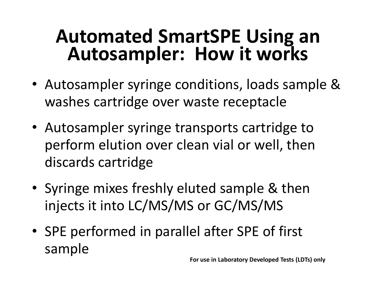# **Automated SmartSPE Using an Autosampler: How it works**

- Autosampler syringe conditions, loads sample & washes cartridge over waste receptacle
- Autosampler syringe transports cartridge to perform elution over clean vial or well, then discards cartridge
- Syringe mixes freshly eluted sample & then injects it into LC/MS/MS or GC/MS/MS
- SPE performed in parallel after SPE of first sample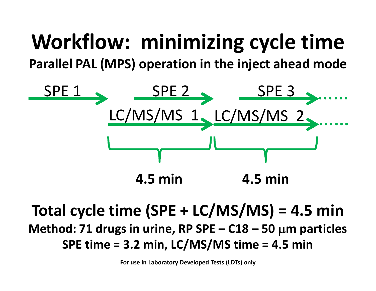### **Workflow: minimizing cycle timeParallel PAL (MPS) operation in the inject ahead mode**



### **Total cycle time (SPE + LC/MS/MS) = 4.5 min Method: 71 drugs in urine, RP SPE – C18 – <sup>50</sup>**µ**m particles SPE time = 3.2 min, LC/MS/MS time = 4.5 min**

**For use in Laboratory Developed Tests (LDTs) only**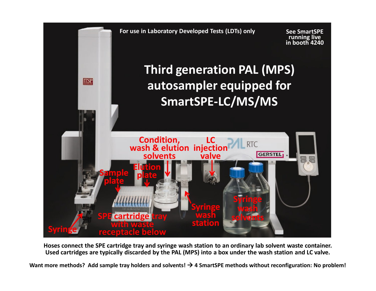

**Hoses connect the SPE cartridge tray and syringe wash station to an ordinary lab solvent waste container. Used cartridges are typically discarded by the PAL (MPS) into a box under the wash station and LC valve.**

**Want more methods? Add sample tray holders and solvents! 4 SmartSPE methods without reconfiguration: No problem!**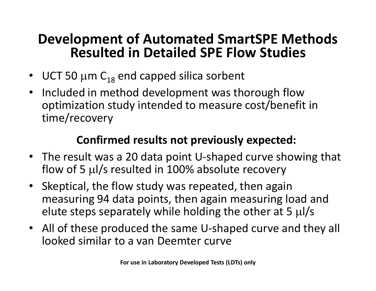#### **Development of Automated SmartSPE Methods Resulted in Detailed SPE Flow Studies**

- UCT 50  $\mu$ m C<sub>18</sub> end capped silica sorbent
- $\bullet$  Included in method development was thorough flow optimization study intended to measure cost/benefit in time/recovery

#### **Confirmed results not previously expected:**

- The result was a 20 data point U-shaped curve showing that flow of 5 µl/s resulted in 100% absolute recovery
- Skeptical, the flow study was repeated, then again measuring 94 data points, then again measuring load and elute steps separately while holding the other at 5  $\mu$ l/s
- $\bullet$  All of these produced the same U-shaped curve and they all looked similar to a van Deemter curve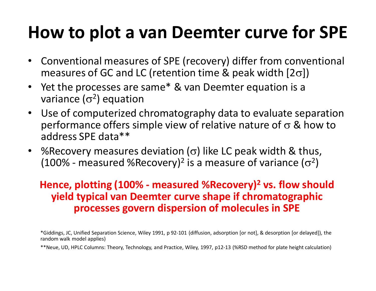### **How to plot a van Deemter curve for SPE**

- • Conventional measures of SPE (recovery) differ from conventional measures of GC and LC (retention time & peak width [2 $\sigma$ ])
- $\bullet$  Yet the processes are same\* & van Deemter equation is a variance ( $\sigma^2$ ) equation
- Use of computerized chromatography data to evaluate separation •performance offers simple view of relative nature of σ & how to address SPE data\*\*
- $\bullet$ • *%*Recovery measures deviation ( $\sigma$ ) like LC peak width & thus, (100% - measured %Recovery)<sup>2</sup> is a measure of variance ( $\sigma^2$ <sup>2</sup>)

#### **Hence, plotting (100% - measured %Recovery) 2 vs. flow should yield typical van Deemter curve shape if chromatographic processes govern dispersion of molecules in SPE**

\*Giddings, JC, Unified Separation Science, Wiley 1991, p 92-101 (diffusion, adsorption [or not], & desorption [or delayed]), therandom walk model applies)

\*\*Neue, UD, HPLC Columns: Theory, Technology, and Practice, Wiley, 1997, p12-13 (%RSD method for plate height calculation)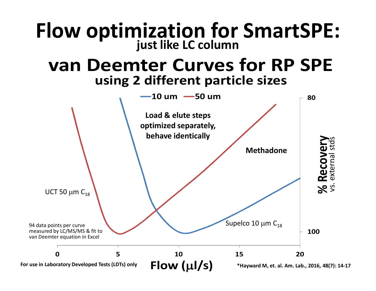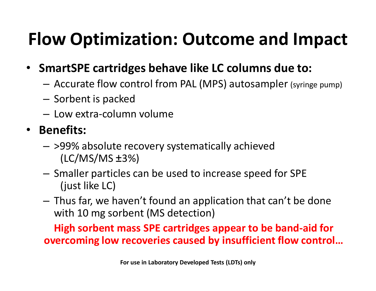### **Flow Optimization: Outcome and Impact**

- $\bullet$  **SmartSPE cartridges behave like LC columns due to:**
	- Accurate flow control from PAL (MPS) autosampler (syringe pump)
	- – $-$  Sorbent is packed
	- $-$  Low extra-column volume

### • **Benefits:**

- –- >99% absolute recovery systematically achieved (LC/MS/MS ±3%)
- Smaller particles can be used to increase speed for SPE (just like LC)
- Thus far, we haven't found an application that can't be done with 10 mg sorbent (MS detection)

**High sorbent mass SPE cartridges appear to be band-aid for overcoming low recoveries caused by insufficient flow control…**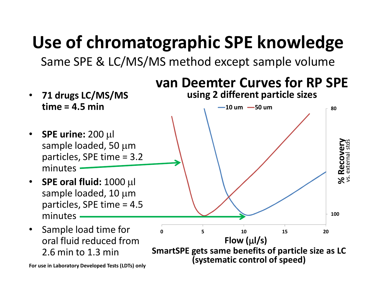### **Use of chromatographic SPE knowledge**

Same SPE & LC/MS/MS method except sample volume



**For use in Laboratory Developed Tests (LDTs) only**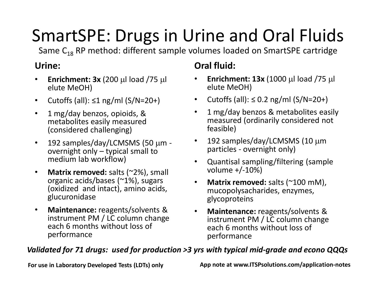### SmartSPE: Drugs in Urine and Oral Fluids

Same  $\mathsf{C}_{18}$  RP method: different sample volumes loaded on SmartSPE cartridge

#### **Urine:**

- •**Enrichment:**  $3x$  **(200**  $\mu$ **l load /75**  $\mu$ **l** elute MeOH)
- $\bullet$ Cutoffs (all):  $\leq 1$  ng/ml (S/N=20+)
- $\bullet$  1 mg/day benzos, opioids, & metabolites easily measured (considered challenging)
- $\bullet$ • 192 samples/day/LCMSMS (50 μm overnight only – typical small to medium lab workflow)
- $\bullet$ **Matrix removed:** salts (~2%), small organic acids/bases (~1%), sugars (oxidized and intact), amino acids, glucuronidase
- $\bullet$  **Maintenance:** reagents/solvents & instrument PM / LC column change each 6 months without loss of performance

#### **Oral fluid:**

- • **Enrichment: 13x** (1000 µl load /75 µl elute MeOH)
- Cutoffs (all): ≤ 0.2 ng/ml (S/N=20+)
- $\bullet$  1 mg/day benzos & metabolites easily measured (ordinarily considered not feasible)
- •• 192 samples/day/LCMSMS (10 μm particles - overnight only)
- Quantisal sampling/filtering (sample volume +/-10%)
- • **Matrix removed:** salts (~100 mM), mucopolysacharides, enzymes, glycoproteins
- $\bullet$  **Maintenance:** reagents/solvents & instrument PM / LC column change each 6 months without loss of performance

#### *Validated for 71 drugs: used for production >3 yrs with typical mid-grade and econo QQQs*

**For use in Laboratory Developed Tests (LDTs) only**

**App note at www.ITSPsolutions.com/application-notes**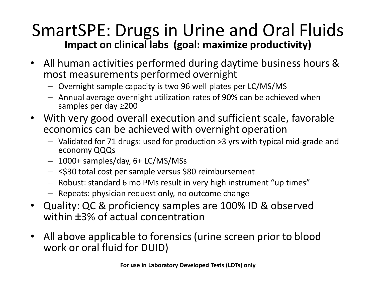#### SmartSPE: Drugs in Urine and Oral Fluids**Impact on clinical labs (goal: maximize productivity)**

- $\bullet$  All human activities performed during daytime business hours & most measurements performed overnight
	- Overnight sample capacity is two 96 well plates per LC/MS/MS
	- Annual average overnight utilization rates of 90% can be achieved when samples per day ≥200
- With very good overall execution and sufficient scale, favorable •economics can be achieved with overnight operation
	- Validated for 71 drugs: used for production >3 yrs with typical mid-grade and economy QQQs
	- 1000+ samples/day, 6+ LC/MS/MSs
	- ≤\$30 total cost per sample versus \$80 reimbursement
	- Robust: standard 6 mo PMs result in very high instrument "up times"
	- Repeats: physician request only, no outcome change
- $\bullet$  Quality: QC & proficiency samples are 100% ID & observed within ±3% of actual concentration
- $\bullet$  All above applicable to forensics (urine screen prior to blood work or oral fluid for DUID)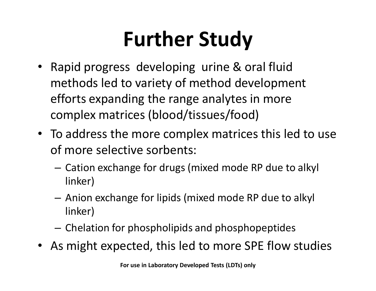# **Further Study**

- Rapid progress developing urine & oral fluid methods led to variety of method development efforts expanding the range analytes in more complex matrices (blood/tissues/food)
- To address the more complex matrices this led to use of more selective sorbents:
	- Cation exchange for drugs (mixed mode RP due to alkyl linker)
	- – Anion exchange for lipids (mixed mode RP due to alkyl linker)
	- $-$  Chelation for phospholipids and phosphopeptides
- As might expected, this led to more SPE flow studies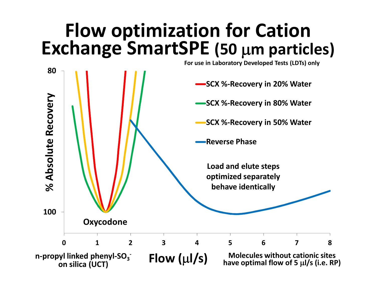## **Flow optimization for CationExchange SmartSPE (50** µ**m particles)**

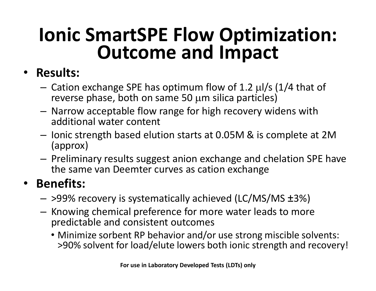# **Ionic SmartSPE Flow Optimization: Outcome and Impact**

### • **Results:**

- – Cation exchange SPE has optimum flow of 1.2 µl/s (1/4 that of reverse phase, both on same 50  $\mu$ m silica particles)
- –- Narrow acceptable flow range for high recovery widens with additional water content
- –- Ionic strength based elution starts at 0.05M & is complete at 2M (approx)
- –- Preliminary results suggest anion exchange and chelation SPE have the same van Deemter curves as cation exchange

### • **Benefits:**

- –>99% recovery is systematically achieved (LC/MS/MS ±3%)
- –- Knowing chemical preference for more water leads to more predictable and consistent outcomes
	- Minimize sorbent RP behavior and/or use strong miscible solvents: >90% solvent for load/elute lowers both ionic strength and recovery!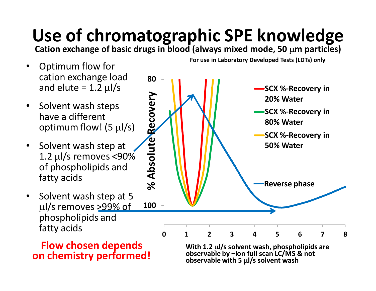### **Use of chromatographic SPE knowledge**

**Cation exchange of basic drugs in blood (always mixed mode, 50** µ**m particles)**

- • Optimum flow for cation exchange load and elute = 1.2  $\mu$ l/s
- Solvent wash steps have a different optimum flow! (5  $\mu$ l/s)
- Solvent wash step at 1.2 µl/s removes <90% of phospholipids and fatty acids
- Solvent wash step at 5 µl/s removes >99% of phospholipids and fatty acids

**Flow chosen dependson chemistry performed!**



**For use in Laboratory Developed Tests (LDTs) only**

With 1.2  $\mu$ *l/s solvent wash, phospholipids are observable by –ion full scan LC/MS & not* **observable with 5** µ**l/s solvent wash**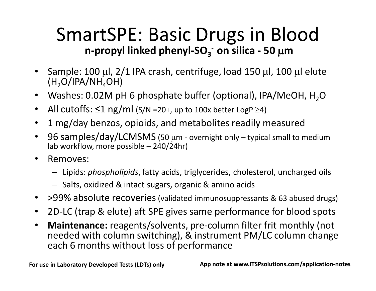### SmartSPE: Basic Drugs in Blood**n-propyl linked phenyl-SO<sub>3</sub><sup>** $-$ **</sup> on silica - 50**  $\mu$ **m**

- • Sample: 100 µl, 2/1 IPA crash, centrifuge, load 150 µl, 100 µl elute  $(H<sub>2</sub>O/IPA/NH<sub>4</sub>OH)$
- Washes: 0.02M pH 6 phosphate buffer (optional), IPA/MeOH,  $H_2$ O
- •• All cutoffs: ≤1 ng/ml (S/N =20+, up to 100x better LogP ≥4)
- •1 mg/day benzos, opioids, and metabolites readily measured
- • 96 samples/day/LCMSMS (50 µm - overnight only – typical small to medium lab workflow, more possible – 240/24hr)
- • Removes:
	- Lipids: *phospholipids*, fatty acids, triglycerides, cholesterol, uncharged oils
	- Salts, oxidized & intact sugars, organic & amino acids
- >99% absolute recoveries (validated immunosuppressants & 63 abused drugs)
- $\bullet$ 2D-LC (trap & elute) aft SPE gives same performance for blood spots
- $\bullet$  **Maintenance:** reagents/solvents, pre-column filter frit monthly (not needed with column switching), & instrument PM/LC column change each 6 months without loss of performance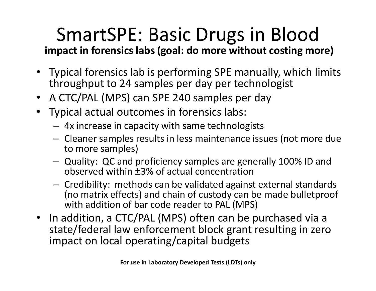### SmartSPE: Basic Drugs in Blood**impact in forensics labs (goal: do more without costing more)**

- Typical forensics lab is performing SPE manually, which limits throughput to 24 samples per day per technologist
- A CTC/PAL (MPS) can SPE 240 samples per day
- Typical actual outcomes in forensics labs:
	- **Links of the Company** 4x increase in capacity with same technologists
	- **Links of the Company** - Cleaner samples results in less maintenance issues (not more due to more samples)
	- Quality: QC and proficiency samples are generally 100% ID and observed within ±3% of actual concentration
	- **Links of the Company** - Credibility: methods can be validated against external standards<br>(se metrix effects) and shain of quatady san he mede hullatere of (no matrix effects) and chain of custody can be made bulletproof with addition of bar code reader to PAL (MPS)
- In addition, a CTC/PAL (MPS) often can be purchased via a state/federal law enforcement block grant resulting in zero impact on local operating/capital budgets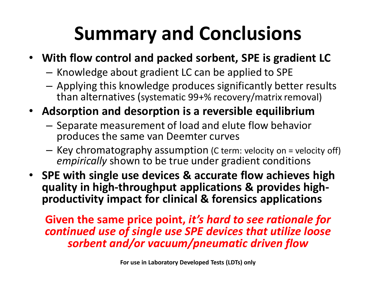## **Summary and Conclusions**

- **With flow control and packed sorbent, SPE is gradient LC**
	- – $-$  Knowledge about gradient LC can be applied to SPE
	- Applying this knowledge produces significantly better results<br>than alternatives (unternative 20:24 message (untrinners and) than alternatives (systematic 99+% recovery/matrix removal)
- **Adsorption and desorption is a reversible equilibrium**
	- שארום אותום בווום וזוג וזכוזו ות וחםותם וווסכםות ם וכזכום - Separate measurement of load and elute flow behavior produces the same van Deemter curves
	- $-$  Key chromatography assumption (C term: velocity on = velocity off) *empirically* shown to be true under gradient conditions
- **SPE with single use devices & accurate flow achieves high quality in high-throughput applications & provides highproductivity impact for clinical & forensics applications**

**Given the same price point,** *it's hard to see rationale for continued use of single use SPE devices that utilize loose sorbent and/or vacuum/pneumatic driven flow*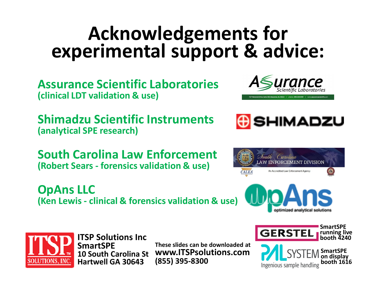### **Acknowledgements forexperimental support & advice:**

**Assurance Scientific Laboratories(clinical LDT validation & use)**

**Shimadzu Scientific Instruments(analytical SPE research)**

**South Carolina Law Enforcement(Robert Sears - forensics validation & use)**

**OpAns LLC(Ken Lewis - clinical & forensics validation & use)**









**ITSP Solutions IncSmartSPE 10 South Carolina StHartwell GA 30643**

**These slides can be downloaded at www.ITSPsolutions.com(855) 395-8300**